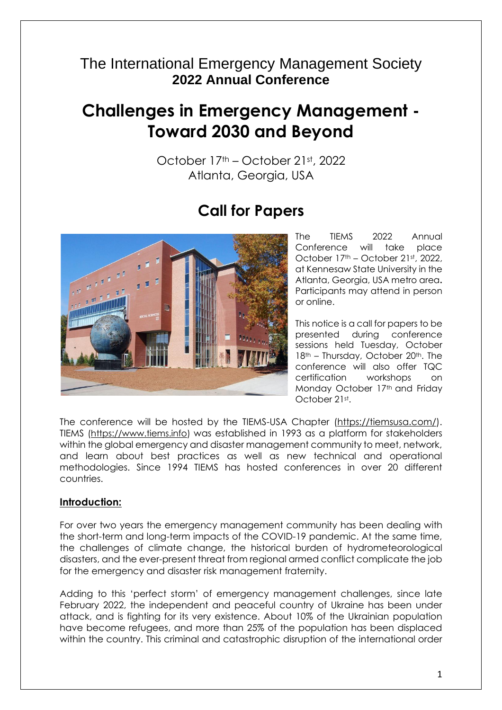# The International Emergency Management Society **2022 Annual Conference**

# **Challenges in Emergency Management - Toward 2030 and Beyond**

October 17th – October 21st, 2022 Atlanta, Georgia, USA

# **Call for Papers**



The TIEMS 2022 Annual Conference will take place October 17<sup>th</sup> – October 21st, 2022, at Kennesaw State University in the Atlanta, Georgia, USA metro area**.**  Participants may attend in person or online.

This notice is a call for papers to be presented during conference sessions held Tuesday, October 18<sup>th</sup> – Thursday, October 20<sup>th</sup>. The conference will also offer TQC certification workshops on Monday October 17th and Friday October 21st.

The conference will be hosted by the TIEMS-USA Chapter [\(https://tiemsusa.com/\)](https://tiemsusa.com/). TIEMS [\(https://www.tiems.info\)](https://www.tiems.info/) was established in 1993 as a platform for stakeholders within the global emergency and disaster management community to meet, network, and learn about best practices as well as new technical and operational methodologies. Since 1994 TIEMS has hosted conferences in over 20 different countries.

#### **Introduction:**

For over two years the emergency management community has been dealing with the short-term and long-term impacts of the COVID-19 pandemic. At the same time, the challenges of climate change, the historical burden of hydrometeorological disasters, and the ever-present threat from regional armed conflict complicate the job for the emergency and disaster risk management fraternity.

Adding to this 'perfect storm' of emergency management challenges, since late February 2022, the independent and peaceful country of Ukraine has been under attack, and is fighting for its very existence. About 10% of the Ukrainian population have become refugees, and more than 25% of the population has been displaced within the country. This criminal and catastrophic disruption of the international order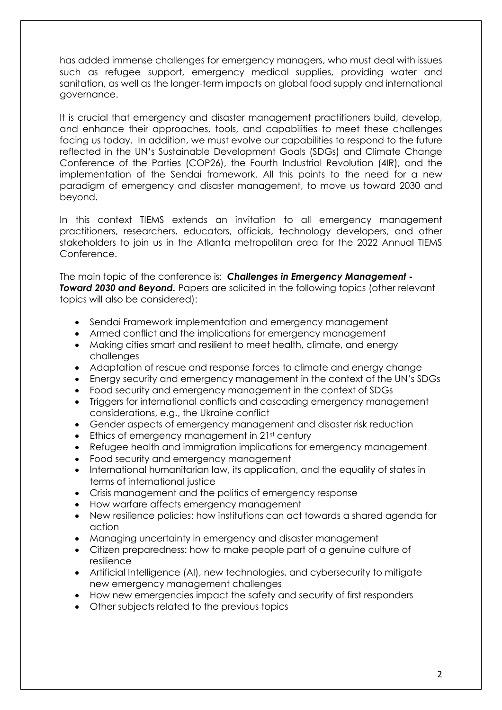has added immense challenges for emergency managers, who must deal with issues such as refugee support, emergency medical supplies, providing water and sanitation, as well as the longer-term impacts on global food supply and international governance.

It is crucial that emergency and disaster management practitioners build, develop, and enhance their approaches, tools, and capabilities to meet these challenges facing us today. In addition, we must evolve our capabilities to respond to the future reflected in the UN's Sustainable Development Goals (SDGs) and Climate Change Conference of the Parties (COP26), the Fourth Industrial Revolution (4IR), and the implementation of the Sendai framework. All this points to the need for a new paradigm of emergency and disaster management, to move us toward 2030 and beyond.

In this context TIEMS extends an invitation to all emergency management practitioners, researchers, educators, officials, technology developers, and other stakeholders to join us in the Atlanta metropolitan area for the 2022 Annual TIEMS Conference.

The main topic of the conference is: *Challenges in Emergency Management -* **Toward 2030 and Beyond.** Papers are solicited in the following topics (other relevant topics will also be considered):

- Sendai Framework implementation and emergency management
- Armed conflict and the implications for emergency management
- Making cities smart and resilient to meet health, climate, and energy challenges
- Adaptation of rescue and response forces to climate and energy change
- Energy security and emergency management in the context of the UN's SDGs
- Food security and emergency management in the context of SDGs
- Triggers for international conflicts and cascading emergency management considerations, e.g., the Ukraine conflict
- Gender aspects of emergency management and disaster risk reduction
- $\bullet$  Ethics of emergency management in 21st century
- Refugee health and immigration implications for emergency management
- Food security and emergency management
- International humanitarian law, its application, and the equality of states in terms of international justice
- Crisis management and the politics of emergency response
- How warfare affects emergency management
- New resilience policies: how institutions can act towards a shared agenda for action
- Managing uncertainty in emergency and disaster management
- Citizen preparedness: how to make people part of a genuine culture of resilience
- Artificial Intelligence (AI), new technologies, and cybersecurity to mitigate new emergency management challenges
- How new emergencies impact the safety and security of first responders
- Other subjects related to the previous topics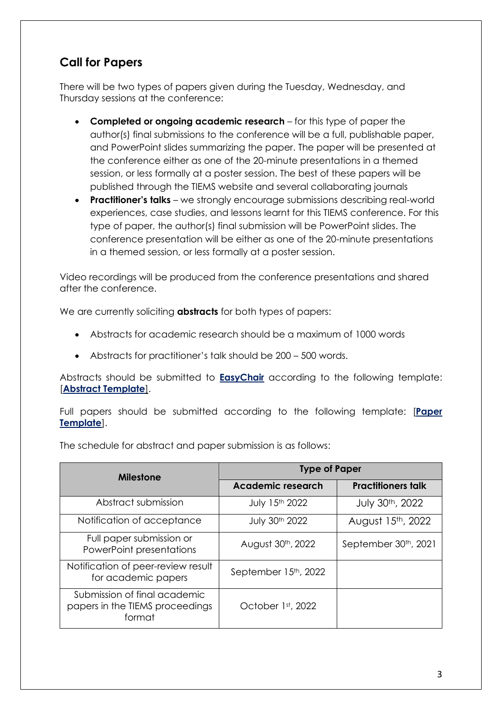## **Call for Papers**

There will be two types of papers given during the Tuesday, Wednesday, and Thursday sessions at the conference:

- **Completed or ongoing academic research** for this type of paper the author(s) final submissions to the conference will be a full, publishable paper, and PowerPoint slides summarizing the paper. The paper will be presented at the conference either as one of the 20-minute presentations in a themed session, or less formally at a poster session. The best of these papers will be published through the TIEMS website and several collaborating journals
- **Practitioner's talks** we strongly encourage submissions describing real-world experiences, case studies, and lessons learnt for this TIEMS conference. For this type of paper, the author(s) final submission will be PowerPoint slides. The conference presentation will be either as one of the 20-minute presentations in a themed session, or less formally at a poster session.

Video recordings will be produced from the conference presentations and shared after the conference.

We are currently soliciting **abstracts** for both types of papers:

- Abstracts for academic research should be a maximum of 1000 words
- Abstracts for practitioner's talk should be 200 500 words.

Abstracts should be submitted to **[EasyChair](https://easychair.org/conferences/?conf=tiemsac2022)** according to the following template: [**[Abstract Template](https://www.tiems.info/images/pdf/TIEMS_2022_Annual_Template_abstract_TIEMS_2022.doc)**].

Full papers should be submitted according to the following template: [**[Paper](https://www.tiems.info/images/pdf/TIEMS_2022_Annual_Template_paper_TIEMS_2022.doc)  [Template](https://www.tiems.info/images/pdf/TIEMS_2022_Annual_Template_paper_TIEMS_2022.doc)**].

The schedule for abstract and paper submission is as follows:

| <b>Milestone</b>                                                          | <b>Type of Paper</b>     |                           |  |  |
|---------------------------------------------------------------------------|--------------------------|---------------------------|--|--|
|                                                                           | <b>Academic research</b> | <b>Practitioners talk</b> |  |  |
| Abstract submission                                                       | July 15th 2022           | July 30th, 2022           |  |  |
| Notification of acceptance                                                | July 30th 2022           | August 15th, 2022         |  |  |
| Full paper submission or<br>PowerPoint presentations                      | August 30th, 2022        | September 30th, 2021      |  |  |
| Notification of peer-review result<br>for academic papers                 | September 15th, 2022     |                           |  |  |
| Submission of final academic<br>papers in the TIEMS proceedings<br>format | October 1st, 2022        |                           |  |  |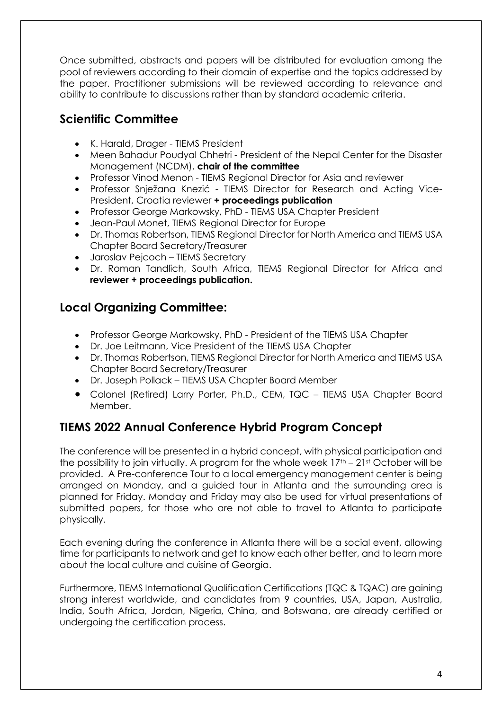Once submitted, abstracts and papers will be distributed for evaluation among the pool of reviewers according to their domain of expertise and the topics addressed by the paper. Practitioner submissions will be reviewed according to relevance and ability to contribute to discussions rather than by standard academic criteria.

### **Scientific Committee**

- K. Harald, Drager TIEMS President
- Meen Bahadur Poudyal Chhetri President of the Nepal Center for the Disaster Management (NCDM), **chair of the committee**
- Professor Vinod Menon TIEMS Regional Director for Asia and reviewer
- Professor Snježana Knezić TIEMS Director for Research and Acting Vice-President, Croatia reviewer **+ proceedings publication**
- Professor George Markowsky, PhD TIEMS USA Chapter President
- Jean-Paul Monet, TIEMS Regional Director for Europe
- Dr. Thomas Robertson, TIEMS Regional Director for North America and TIEMS USA Chapter Board Secretary/Treasurer
- Jaroslav Pejcoch TIEMS Secretary
- Dr. Roman Tandlich, South Africa, TIEMS Regional Director for Africa and **reviewer + proceedings publication.**

# **Local Organizing Committee:**

- Professor George Markowsky, PhD President of the TIEMS USA Chapter
- Dr. Joe Leitmann, Vice President of the TIEMS USA Chapter
- Dr. Thomas Robertson, TIEMS Regional Director for North America and TIEMS USA Chapter Board Secretary/Treasurer
- Dr. Joseph Pollack TIEMS USA Chapter Board Member
- Colonel (Retired) Larry Porter, Ph.D., CEM, TQC TIEMS USA Chapter Board Member.

## **TIEMS 2022 Annual Conference Hybrid Program Concept**

The conference will be presented in a hybrid concept, with physical participation and the possibility to join virtually. A program for the whole week  $17<sup>th</sup> - 21<sup>st</sup>$  October will be provided. A Pre-conference Tour to a local emergency management center is being arranged on Monday, and a guided tour in Atlanta and the surrounding area is planned for Friday. Monday and Friday may also be used for virtual presentations of submitted papers, for those who are not able to travel to Atlanta to participate physically.

Each evening during the conference in Atlanta there will be a social event, allowing time for participants to network and get to know each other better, and to learn more about the local culture and cuisine of Georgia.

Furthermore, TIEMS International Qualification Certifications (TQC & TQAC) are gaining strong interest worldwide, and candidates from 9 countries, USA, Japan, Australia, India, South Africa, Jordan, Nigeria, China, and Botswana, are already certified or undergoing the certification process.